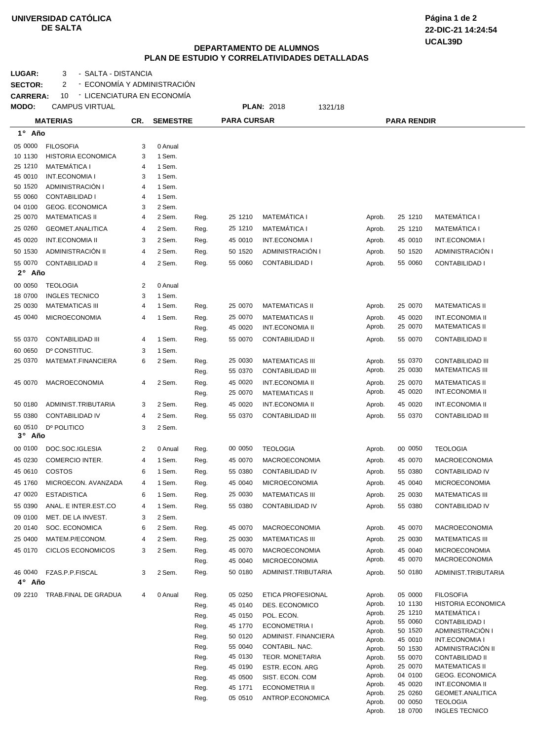## **UNIVERSIDAD CATÓLICA DE SALTA**

**UCAL39D 22-DIC-21 14:24:54 Página 1 de 2**

## **DEPARTAMENTO DE ALUMNOS PLAN DE ESTUDIO Y CORRELATIVIDADES DETALLADAS**

LUGAR: 3 - SALTA - DISTANCIA

**SECTOR:** 2 - ECONOMÍA Y ADMINISTRACIÓN **CARRERA:** 10 LICENCIATURA EN ECONOMÍA -

| MODO:   | <b>CAMPUS VIRTUAL</b>        |     |                  |      |                    | <b>PLAN: 2018</b><br>1321/18 |                  |                    |                                       |
|---------|------------------------------|-----|------------------|------|--------------------|------------------------------|------------------|--------------------|---------------------------------------|
|         | <b>MATERIAS</b>              | CR. | <b>SEMESTRE</b>  |      | <b>PARA CURSAR</b> |                              |                  | <b>PARA RENDIR</b> |                                       |
| 1° Año  |                              |     |                  |      |                    |                              |                  |                    |                                       |
| 05 0000 | <b>FILOSOFIA</b>             | 3   | 0 Anual          |      |                    |                              |                  |                    |                                       |
| 10 1130 | <b>HISTORIA ECONOMICA</b>    | 3   | 1 Sem.           |      |                    |                              |                  |                    |                                       |
| 25 1210 | <b>MATEMÁTICA I</b>          | 4   | 1 Sem.           |      |                    |                              |                  |                    |                                       |
| 45 0010 | <b>INT.ECONOMIA I</b>        | 3   | 1 Sem.           |      |                    |                              |                  |                    |                                       |
| 50 1520 | ADMINISTRACIÓN I             | 4   | 1 Sem.           |      |                    |                              |                  |                    |                                       |
| 55 0060 | <b>CONTABILIDAD I</b>        | 4   | 1 Sem.           |      |                    |                              |                  |                    |                                       |
| 04 0100 | <b>GEOG. ECONOMICA</b>       | 3   | 2 Sem.           |      |                    |                              |                  |                    |                                       |
| 25 0070 | <b>MATEMATICAS II</b>        | 4   | 2 Sem.           | Reg. | 25 1210            | <b>MATEMÁTICA I</b>          | Aprob.           | 25 1210            | <b>MATEMATICA I</b>                   |
| 25 0260 | GEOMET.ANALITICA             | 4   | 2 Sem.           | Reg. | 25 1210            | <b>MATEMÁTICA I</b>          | Aprob.           | 25 1210            | <b>MATEMÁTICA I</b>                   |
| 45 0020 | <b>INT.ECONOMIA II</b>       | 3   | 2 Sem.           | Reg. | 45 0010            | <b>INT.ECONOMIA I</b>        | Aprob.           | 45 0010            | <b>INT.ECONOMIA I</b>                 |
| 50 1530 | ADMINISTRACIÓN II            | 4   | 2 Sem.           | Reg. | 50 1520            | ADMINISTRACIÓN I             | Aprob.           | 50 1520            | ADMINISTRACIÓN I                      |
| 55 0070 | <b>CONTABILIDAD II</b>       | 4   | 2 Sem.           | Reg. | 55 0060            | <b>CONTABILIDAD I</b>        | Aprob.           | 55 0060            | CONTABILIDAD I                        |
| 2° Año  |                              |     |                  |      |                    |                              |                  |                    |                                       |
| 00 0050 | <b>TEOLOGIA</b>              | 2   | 0 Anual          |      |                    |                              |                  |                    |                                       |
| 18 0700 | <b>INGLES TECNICO</b>        | 3   | 1 Sem.           |      |                    |                              |                  |                    |                                       |
| 25 0030 | <b>MATEMATICAS III</b>       | 4   | 1 Sem.           | Reg. | 25 0070            | <b>MATEMATICAS II</b>        | Aprob.           | 25 0070            | <b>MATEMATICAS II</b>                 |
| 45 0040 | <b>MICROECONOMIA</b>         | 4   | 1 Sem.           | Reg. | 25 0070            | <b>MATEMATICAS II</b>        | Aprob.           | 45 0020            | <b>INT.ECONOMIA II</b>                |
|         |                              |     |                  | Reg. | 45 0020            | <b>INT.ECONOMIA II</b>       | Aprob.           | 25 0070            | <b>MATEMATICAS II</b>                 |
| 55 0370 | <b>CONTABILIDAD III</b>      | 4   | 1 Sem.           | Reg. | 55 0070            | <b>CONTABILIDAD II</b>       | Aprob.           | 55 0070            | <b>CONTABILIDAD II</b>                |
| 60 0650 | D° CONSTITUC.                | 3   |                  |      |                    |                              |                  |                    |                                       |
| 25 0370 | MATEMAT.FINANCIERA           | 6   | 1 Sem.<br>2 Sem. | Reg. | 25 0030            | <b>MATEMATICAS III</b>       | Aprob.           | 55 0370            | <b>CONTABILIDAD III</b>               |
|         |                              |     |                  | Reg. | 55 0370            | <b>CONTABILIDAD III</b>      | Aprob.           | 25 0030            | <b>MATEMATICAS III</b>                |
| 45 0070 | <b>MACROECONOMIA</b>         | 4   | 2 Sem.           | Reg. | 45 0020            | <b>INT.ECONOMIA II</b>       | Aprob.           | 25 0070            | <b>MATEMATICAS II</b>                 |
|         |                              |     |                  | Reg. | 25 0070            | <b>MATEMATICAS II</b>        | Aprob.           | 45 0020            | <b>INT.ECONOMIA II</b>                |
| 50 0180 | ADMINIST.TRIBUTARIA          | 3   | 2 Sem.           | Reg. | 45 0020            | <b>INT.ECONOMIA II</b>       | Aprob.           | 45 0020            | <b>INT.ECONOMIA II</b>                |
| 55 0380 | <b>CONTABILIDAD IV</b>       | 4   | 2 Sem.           | Reg. | 55 0370            | <b>CONTABILIDAD III</b>      | Aprob.           | 55 0370            | <b>CONTABILIDAD III</b>               |
| 60 0510 |                              | 3   |                  |      |                    |                              |                  |                    |                                       |
| 3° Año  | D° POLITICO                  |     | 2 Sem.           |      |                    |                              |                  |                    |                                       |
| 00 0100 | DOC.SOC.IGLESIA              | 2   | 0 Anual          | Reg. | 00 0050            | <b>TEOLOGIA</b>              | Aprob.           | 00 0050            | <b>TEOLOGIA</b>                       |
| 45 0230 | COMERCIO INTER.              | 4   | 1 Sem.           | Reg. | 45 0070            | <b>MACROECONOMIA</b>         | Aprob.           | 45 0070            | <b>MACROECONOMIA</b>                  |
| 45 0610 |                              |     |                  |      | 55 0380            |                              |                  |                    | <b>CONTABILIDAD IV</b>                |
|         | COSTOS                       | 6   | 1 Sem.           | Reg. |                    | CONTABILIDAD IV              | Aprob.           | 55 0380            |                                       |
| 45 1760 | MICROECON. AVANZADA          | 4   | 1 Sem.           | Reg. | 45 0040            | <b>MICROECONOMIA</b>         | Aprob.           | 45 0040            | <b>MICROECONOMIA</b>                  |
| 47 0020 | <b>ESTADISTICA</b>           | 6   | 1 Sem.           | Reg. | 25 0030            | <b>MATEMATICAS III</b>       | Aprob.           | 25 0030            | <b>MATEMATICAS III</b>                |
| 55 0390 | ANAL. E INTER.EST.CO         | 4   | 1 Sem.           | Reg. | 55 0380            | CONTABILIDAD IV              | Aprob.           | 55 0380            | CONTABILIDAD IV                       |
| 09 0100 | MET. DE LA INVEST.           | 3   | 2 Sem.           |      |                    |                              |                  |                    |                                       |
| 20 0140 | SOC. ECONOMICA               | 6   | 2 Sem.           | Reg. | 45 0070            | <b>MACROECONOMIA</b>         | Aprob.           | 45 0070            | <b>MACROECONOMIA</b>                  |
| 25 0400 | MATEM.P/ECONOM.              | 4   | 2 Sem.           | Reg. | 25 0030            | <b>MATEMATICAS III</b>       | Aprob.           | 25 0030            | <b>MATEMATICAS III</b>                |
| 45 0170 | <b>CICLOS ECONOMICOS</b>     | 3   | 2 Sem.           | Reg. | 45 0070            | <b>MACROECONOMIA</b>         | Aprob.           | 45 0040            | MICROECONOMIA                         |
|         |                              |     |                  | Reg. | 45 0040            | <b>MICROECONOMIA</b>         | Aprob.           | 45 0070            | <b>MACROECONOMIA</b>                  |
|         | 46 0040 FZAS.P.P.FISCAL      | 3   | 2 Sem.           | Reg. | 50 0180            | ADMINIST.TRIBUTARIA          | Aprob.           | 50 0180            | ADMINIST.TRIBUTARIA                   |
| 4° Año  |                              |     |                  |      |                    |                              |                  |                    |                                       |
|         | 09 2210 TRAB FINAL DE GRADUA | 4   | 0 Anual          | Reg. | 05 0250            | ETICA PROFESIONAL            | Aprob.           | 05 0000            | <b>FILOSOFIA</b>                      |
|         |                              |     |                  | Reg. | 45 0140            | DES. ECONOMICO               | Aprob.           | 10 1130            | <b>HISTORIA ECONOMICA</b>             |
|         |                              |     |                  | Reg. | 45 0150            | POL. ECON.                   | Aprob.<br>Aprob. | 25 1210<br>55 0060 | <b>MATEMATICA I</b><br>CONTABILIDAD I |
|         |                              |     |                  | Reg. | 45 1770            | <b>ECONOMETRIA I</b>         | Aprob.           | 50 1520            | ADMINISTRACIÓN I                      |
|         |                              |     |                  | Reg. | 50 0120            | ADMINIST. FINANCIERA         | Aprob.           | 45 0010            | INT.ECONOMIA I                        |
|         |                              |     |                  | Reg. | 55 0040            | CONTABIL. NAC.               | Aprob.           | 50 1530            | ADMINISTRACIÓN II                     |
|         |                              |     |                  | Reg. | 45 0130            | TEOR. MONETARIA              | Aprob.           | 55 0070            | <b>CONTABILIDAD II</b>                |
|         |                              |     |                  | Reg. | 45 0190            | ESTR. ECON. ARG              | Aprob.           | 25 0070            | <b>MATEMATICAS II</b>                 |
|         |                              |     |                  | Reg. | 45 0500            | SIST. ECON. COM              | Aprob.           | 04 0100            | <b>GEOG. ECONOMICA</b>                |
|         |                              |     |                  | Reg. | 45 1771            | <b>ECONOMETRIA II</b>        | Aprob.           | 45 0020            | <b>INT.ECONOMIA II</b>                |
|         |                              |     |                  | Reg. | 05 0510            | ANTROP.ECONOMICA             | Aprob.<br>Aprob. | 25 0260<br>00 0050 | GEOMET.ANALITICA<br><b>TEOLOGIA</b>   |
|         |                              |     |                  |      |                    |                              | Aprob.           | 18 0700            | <b>INGLES TECNICO</b>                 |
|         |                              |     |                  |      |                    |                              |                  |                    |                                       |